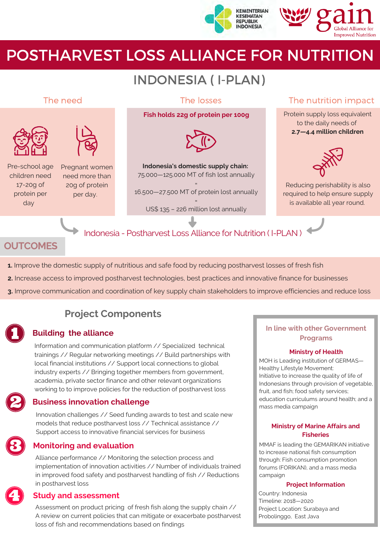



# POSTHARVEST LOSS ALLIANCE FOR NUTRITION

# INDONESIA ( I-PLAN)



## **OUTCOMES**

- **1.** Improve the domestic supply of nutritious and safe food by reducing postharvest losses of fresh fish
- **2.** Increase access to improved postharvest technologies, best practices and innovative finance for businesses
- **3.** Improve communication and coordination of key supply chain stakeholders to improve efficiencies and reduce loss

# **Project Components**

Information and communication platform // Specialized technical trainings // Regular networking meetings // Build partnerships with local financial institutions // Support local connections to global industry experts // Bringing together members from government, academia, private sector finance and other relevant organizations working to to improve policies for the reduction of postharvest loss

## **Business innovation challenge**

Innovation challenges // Seed funding awards to test and scale new models that reduce postharvest loss // Technical assistance // Support access to innovative financial services for business



### **Monitoring and evaluation**

Alliance performance // Monitoring the selection process and implementation of innovation activities // Number of individuals trained in improved food safety and postharvest handling of fish // Reductions in postharvest loss

### **Study and assessment**

Assessment on product pricing of fresh fish along the supply chain // A review on current policies that can mitigate or exacerbate postharvest loss of fish and recommendations based on findings

#### **In line with other Government Puilding the alliance**<br>Programs

#### **Ministry of Health**

MOH is Leading institution of GERMAS— Healthy Lifestyle Movement: Initiative to increase the quality of life of Indonesians through provision of vegetable, fruit, and fish; food safety services; education curriculums around health; and a mass media campaign

#### **Ministry of Marine Affairs and Fisheries**

MMAF is leading the GEMARIKAN initiative to increase national fish consumption through: Fish consumption promotion forums (FORIKAN), and a mass media campaign

#### **Project Information**

Country: Indonesia Timeline: 2018—2020 Project Location: Surabaya and Probolinggo, East Java